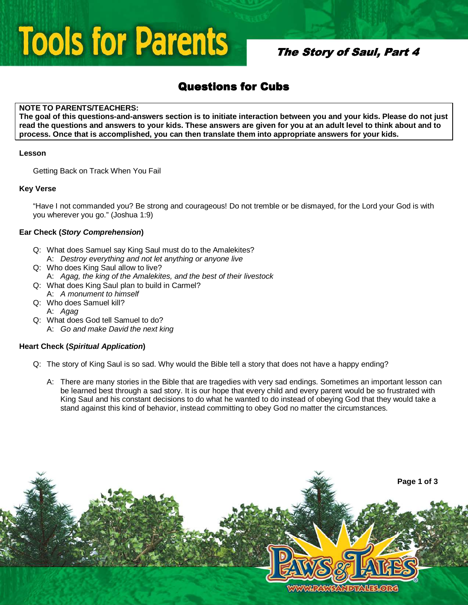## **Tools for Parents**

## The Story of Saul, Part 4

## **Questions for Cubs**

### **NOTE TO PARENTS/TEACHERS:**

**The goal of this questions-and-answers section is to initiate interaction between you and your kids. Please do not just read the questions and answers to your kids. These answers are given for you at an adult level to think about and to process. Once that is accomplished, you can then translate them into appropriate answers for your kids.** 

### **Lesson**

Getting Back on Track When You Fail

### **Key Verse**

"Have I not commanded you? Be strong and courageous! Do not tremble or be dismayed, for the Lord your God is with you wherever you go." (Joshua 1:9)

### **Ear Check (Story Comprehension)**

- Q: What does Samuel say King Saul must do to the Amalekites? A: Destroy everything and not let anything or anyone live
- Q: Who does King Saul allow to live?
- A: Agag, the king of the Amalekites, and the best of their livestock
- Q: What does King Saul plan to build in Carmel?
- A: A monument to himself Q: Who does Samuel kill?
- A: Agag
- Q: What does God tell Samuel to do?
	- A: Go and make David the next king

### **Heart Check (Spiritual Application)**

- Q: The story of King Saul is so sad. Why would the Bible tell a story that does not have a happy ending?
	- A: There are many stories in the Bible that are tragedies with very sad endings. Sometimes an important lesson can be learned best through a sad story. It is our hope that every child and every parent would be so frustrated with King Saul and his constant decisions to do what he wanted to do instead of obeying God that they would take a stand against this kind of behavior, instead committing to obey God no matter the circumstances.

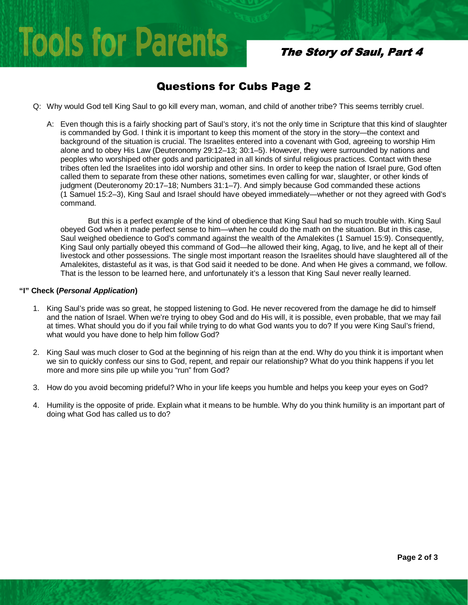# **Tools for Parents**

## The Story of Saul, Part 4

## Questions for Cubs Page 2

- Q: Why would God tell King Saul to go kill every man, woman, and child of another tribe? This seems terribly cruel.
	- A: Even though this is a fairly shocking part of Saul's story, it's not the only time in Scripture that this kind of slaughter is commanded by God. I think it is important to keep this moment of the story in the story—the context and background of the situation is crucial. The Israelites entered into a covenant with God, agreeing to worship Him alone and to obey His Law (Deuteronomy 29:12–13; 30:1–5). However, they were surrounded by nations and peoples who worshiped other gods and participated in all kinds of sinful religious practices. Contact with these tribes often led the Israelites into idol worship and other sins. In order to keep the nation of Israel pure, God often called them to separate from these other nations, sometimes even calling for war, slaughter, or other kinds of judgment (Deuteronomy 20:17–18; Numbers 31:1–7). And simply because God commanded these actions (1 Samuel 15:2–3), King Saul and Israel should have obeyed immediately—whether or not they agreed with God's command.

But this is a perfect example of the kind of obedience that King Saul had so much trouble with. King Saul obeyed God when it made perfect sense to him—when he could do the math on the situation. But in this case, Saul weighed obedience to God's command against the wealth of the Amalekites (1 Samuel 15:9). Consequently, King Saul only partially obeyed this command of God—he allowed their king, Agag, to live, and he kept all of their livestock and other possessions. The single most important reason the Israelites should have slaughtered all of the Amalekites, distasteful as it was, is that God said it needed to be done. And when He gives a command, we follow. That is the lesson to be learned here, and unfortunately it's a lesson that King Saul never really learned.

### **"I" Check (Personal Application)**

- 1. King Saul's pride was so great, he stopped listening to God. He never recovered from the damage he did to himself and the nation of Israel. When we're trying to obey God and do His will, it is possible, even probable, that we may fail at times. What should you do if you fail while trying to do what God wants you to do? If you were King Saul's friend, what would you have done to help him follow God?
- 2. King Saul was much closer to God at the beginning of his reign than at the end. Why do you think it is important when we sin to quickly confess our sins to God, repent, and repair our relationship? What do you think happens if you let more and more sins pile up while you "run" from God?
- 3. How do you avoid becoming prideful? Who in your life keeps you humble and helps you keep your eyes on God?
- 4. Humility is the opposite of pride. Explain what it means to be humble. Why do you think humility is an important part of doing what God has called us to do?